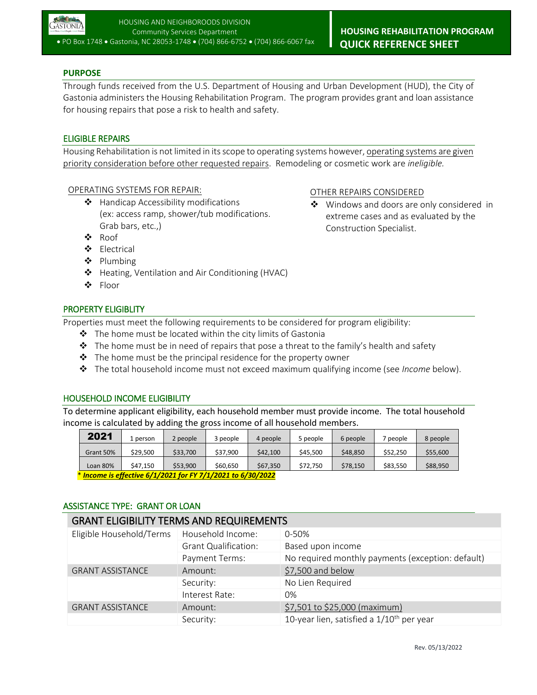

## **PURPOSE**

Through funds received from the U.S. Department of Housing and Urban Development (HUD), the City of Gastonia administers the Housing Rehabilitation Program. The program provides grant and loan assistance for housing repairs that pose a risk to health and safety.

## ELIGIBLE REPAIRS

Housing Rehabilitation is not limited in its scope to operating systems however, operating systems are given priority consideration before other requested repairs. Remodeling or cosmetic work are *ineligible.*

#### OPERATING SYSTEMS FOR REPAIR:

- ❖ Handicap Accessibility modifications (ex: access ramp, shower/tub modifications. Grab bars, etc.,)
- ❖ Roof
- Electrical
- ❖ Plumbing
- ❖ Heating, Ventilation and Air Conditioning (HVAC)
- ❖ Floor

## PROPERTY ELIGIBLITY

Properties must meet the following requirements to be considered for program eligibility:

- $\div$  The home must be located within the city limits of Gastonia
- $\div$  The home must be in need of repairs that pose a threat to the family's health and safety
- $\cdot \cdot$  The home must be the principal residence for the property owner
- The total household income must not exceed maximum qualifying income (see *Income* below).

#### HOUSEHOLD INCOME ELIGIBILITY

To determine applicant eligibility, each household member must provide income. The total household income is calculated by adding the gross income of all household members.

| 2021                                                          | . person | 2 people | 3 people | 4 people | 5 people | 6 people | people   | 8 people |
|---------------------------------------------------------------|----------|----------|----------|----------|----------|----------|----------|----------|
| Grant 50%                                                     | \$29.500 | \$33,700 | \$37.900 | \$42,100 | \$45,500 | \$48,850 | \$52.250 | \$55,600 |
| Loan 80%                                                      | \$47.150 | \$53.900 | \$60.650 | \$67,350 | \$72.750 | \$78.150 | \$83.550 | \$88.950 |
| $*$ Income is effective 6/1/2021 for EV 7/1/2021 to 6/30/2022 |          |          |          |          |          |          |          |          |

\* *Income is effective 6/1/2021 for FY 7/1/2021 to 6/30/2022*

#### ASSISTANCE TYPE: GRANT OR LOAN

| <b>GRANT ELIGIBILITY TERMS AND REQUIREMENTS</b> |                             |                                                   |  |  |
|-------------------------------------------------|-----------------------------|---------------------------------------------------|--|--|
| Eligible Household/Terms                        | Household Income:           | $0 - 50%$                                         |  |  |
|                                                 | <b>Grant Qualification:</b> | Based upon income                                 |  |  |
|                                                 | Payment Terms:              | No required monthly payments (exception: default) |  |  |
| <b>GRANT ASSISTANCE</b>                         | Amount:                     | \$7,500 and below                                 |  |  |
|                                                 | Security:                   | No Lien Required                                  |  |  |
|                                                 | Interest Rate:              | 0%                                                |  |  |
| <b>GRANT ASSISTANCE</b>                         | Amount:                     | \$7,501 to \$25,000 (maximum)                     |  |  |
|                                                 | Security:                   | 10-year lien, satisfied a $1/10^{th}$ per year    |  |  |

# OTHER REPAIRS CONSIDERED

❖ Windows and doors are only considered in extreme cases and as evaluated by the Construction Specialist.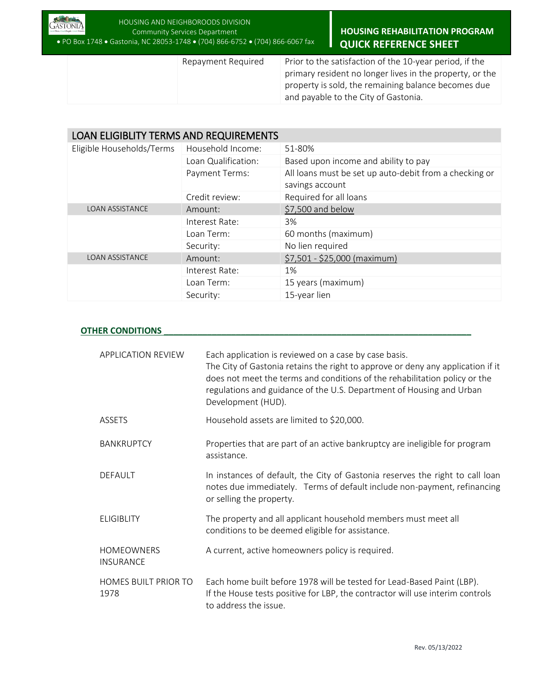

 **HOUSING REHABILITATION PROGRAM QUICK REFERENCE SHEET**

Repayment Required Prior to the satisfaction of the 10-year period, if the primary resident no longer lives in the property, or the property is sold, the remaining balance becomes due and payable to the City of Gastonia.

| <b>LOAN ELIGIBLITY TERMS AND REQUIREMENTS</b> |                     |                                                                           |  |  |
|-----------------------------------------------|---------------------|---------------------------------------------------------------------------|--|--|
| Eligible Households/Terms                     | Household Income:   | 51-80%                                                                    |  |  |
|                                               | Loan Qualification: | Based upon income and ability to pay                                      |  |  |
|                                               | Payment Terms:      | All loans must be set up auto-debit from a checking or<br>savings account |  |  |
|                                               | Credit review:      | Required for all loans                                                    |  |  |
| <b>LOAN ASSISTANCE</b>                        | Amount:             | \$7,500 and below                                                         |  |  |
|                                               | Interest Rate:      | 3%                                                                        |  |  |
|                                               | Loan Term:          | 60 months (maximum)                                                       |  |  |
|                                               | Security:           | No lien required                                                          |  |  |
| <b>LOAN ASSISTANCE</b>                        | Amount:             | \$7,501 - \$25,000 (maximum)                                              |  |  |
|                                               | Interest Rate:      | 1%                                                                        |  |  |
|                                               | Loan Term:          | 15 years (maximum)                                                        |  |  |
|                                               | Security:           | 15-year lien                                                              |  |  |

## **OTHER CONDITIONS**

| <b>APPLICATION REVIEW</b>             | Each application is reviewed on a case by case basis.<br>The City of Gastonia retains the right to approve or deny any application if it<br>does not meet the terms and conditions of the rehabilitation policy or the<br>regulations and guidance of the U.S. Department of Housing and Urban<br>Development (HUD). |
|---------------------------------------|----------------------------------------------------------------------------------------------------------------------------------------------------------------------------------------------------------------------------------------------------------------------------------------------------------------------|
| <b>ASSETS</b>                         | Household assets are limited to \$20,000.                                                                                                                                                                                                                                                                            |
| <b>BANKRUPTCY</b>                     | Properties that are part of an active bankruptcy are ineligible for program<br>assistance.                                                                                                                                                                                                                           |
| <b>DEFAULT</b>                        | In instances of default, the City of Gastonia reserves the right to call loan<br>notes due immediately. Terms of default include non-payment, refinancing<br>or selling the property.                                                                                                                                |
| <b>ELIGIBLITY</b>                     | The property and all applicant household members must meet all<br>conditions to be deemed eligible for assistance.                                                                                                                                                                                                   |
| <b>HOMEOWNERS</b><br><b>INSURANCE</b> | A current, active homeowners policy is required.                                                                                                                                                                                                                                                                     |
| HOMES BUILT PRIOR TO<br>1978          | Each home built before 1978 will be tested for Lead-Based Paint (LBP).<br>If the House tests positive for LBP, the contractor will use interim controls<br>to address the issue.                                                                                                                                     |